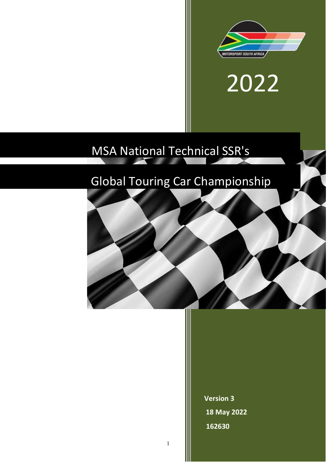



# MSA National Technical SSR's

I

1

## Global Touring Car Championship



**Version 3 18 May 2022 162630**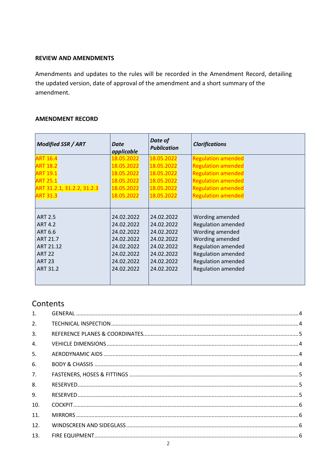#### **REVIEW AND AMENDMENTS**

Amendments and updates to the rules will be recorded in the Amendment Record, detailing the updated version, date of approval of the amendment and a short summary of the amendment.

#### **AMENDMENT RECORD**

| <b>Modified SSR / ART</b>  | <b>Date</b><br>applicable | Date of<br><b>Publication</b> | <b>Clarifications</b>     |
|----------------------------|---------------------------|-------------------------------|---------------------------|
| <b>ART 16.4</b>            | 18.05.2022                | 18.05.2022                    | <b>Regulation amended</b> |
| <b>ART 18.2</b>            | 18.05.2022                | 18.05.2022                    | <b>Regulation amended</b> |
| ART 19.1                   | 18.05.2022                | 18.05.2022                    | <b>Regulation amended</b> |
| <b>ART 25.1</b>            | 18.05.2022                | 18.05.2022                    | <b>Regulation amended</b> |
| ART 31.2.1, 31.2.2, 31.2.3 | 18.05.2022                | 18.05.2022                    | <b>Regulation amended</b> |
| <b>ART 31.3</b>            | 18.05.2022                | 18.05.2022                    | <b>Regulation amended</b> |
|                            |                           |                               |                           |
|                            |                           |                               |                           |
| <b>ART 2.5</b>             | 24.02.2022                | 24.02.2022                    | Wording amended           |
| <b>ART 4.2</b>             | 24.02.2022                | 24.02.2022                    | <b>Regulation amended</b> |
| <b>ART 6.6</b>             | 24.02.2022                | 24.02.2022                    | Wording amended           |
| <b>ART 21.7</b>            | 24.02.2022                | 24.02.2022                    | Wording amended           |
| ART 21.12                  | 24.02.2022                | 24.02.2022                    | <b>Regulation amended</b> |
| <b>ART 22</b>              | 24.02.2022                | 24.02.2022                    | <b>Regulation amended</b> |
| <b>ART 23</b>              | 24.02.2022                | 24.02.2022                    | <b>Regulation amended</b> |
| <b>ART 31.2</b>            | 24.02.2022                | 24.02.2022                    | <b>Regulation amended</b> |
|                            |                           |                               |                           |

### **Contents**

| 1.             |  |
|----------------|--|
| 2.             |  |
| $\mathbf{3}$ . |  |
| $\mathbf{4}$ . |  |
| 5.             |  |
| 6.             |  |
| 7.             |  |
| 8.             |  |
| 9.             |  |
| 10.            |  |
| 11.            |  |
| 12.            |  |
| 13.            |  |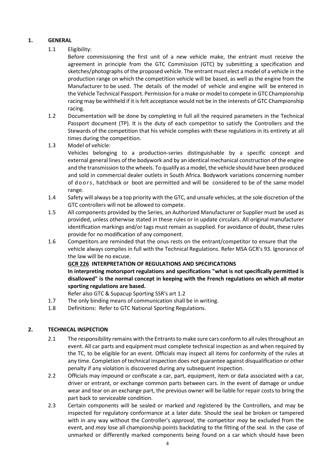#### <span id="page-3-0"></span>**1. GENERAL**

#### 1.1 Eligibility:

Before commissioning the first unit of a new vehicle make, the entrant must receive the agreement in principle from the GTC Commission (GTC) by submitting a specification and sketches/photographs of the proposed vehicle. The entrant must elect a model of a vehicle in the production range on which the competition vehicle will be based, as well as the engine from the Manufacturer to be used. The details of the model of vehicle and engine will be entered in the Vehicle Technical Passport. Permission for a make or model to compete in GTC Championship racing may be withheld if it is felt acceptance would not be in the interests of GTC Championship racing.

- 1.2 Documentation will be done by completing in full all the required parameters in the Technical Passport document (TP). It is the duty of each competitor to satisfy the Controllers and the Stewards of the competition that his vehicle complies with these regulations in its entirety at all times during the competition.
- 1.3 Model of vehicle:

Vehicles belonging to a production-series distinguishable by a specific concept and external general lines of the bodywork and by an identical mechanical construction of the engine and the transmission to the wheels. To qualify as a model, the vehicle should have been produced and sold in commercial dealer outlets in South Africa. Bodywork variations concerning number of doors, hatchback or boot are permitted and will be considered to be of the same model range.

- 1.4 Safety will always be a top priority with the GTC, and unsafe vehicles, at the sole discretion of the GTC controllers will not be allowed to compete.
- 1.5 All components provided by the Series, an Authorized Manufacturer or Supplier must be used as provided, unless otherwise stated in these rules or in update circulars. All original manufacturer identification markings and/or tags must remain as supplied. For avoidance of doubt, these rules provide for no modification of any component.
- 1.6 Competitors are reminded that the onus rests on the entrant/competitor to ensure that the vehicle always complies in full with the Technical Regulations. Refer MSA GCR's 93. Ignorance of the law will be no excuse.

#### **GCR 226 INTERPRETATION OF REGULATIONS AND SPECIFICATIONS**

**In interpreting motorsport regulations and specifications "what is not specifically permitted is disallowed" is the normal concept in keeping with the French regulations on which all motor sporting regulations are based.**

Refer also GTC & Supacup Sporting SSR's art 1.2

- 1.7 The only binding means of communication shall be in writing.
- 1.8 Definitions: Refer to GTC National Sporting Regulations.

#### <span id="page-3-1"></span>**2. TECHNICAL INSPECTION**

- 2.1 The responsibility remains with the Entrants to make sure cars conform to all rules throughout an event. All car parts and equipment must complete technical inspection as and when required by the TC, to be eligible for an event. Officials may inspect all items for conformity of the rules at any time. Completion of technical inspection does not guarantee against disqualification or other penalty if any violation is discovered during any subsequent inspection.
- 2.2 Officials may impound or confiscate a car, part, equipment, item or data associated with a car, driver or entrant, or exchange common parts between cars. In the event of damage or undue wear and tear on an exchange part, the previous owner will be liable for repair costs to bring the part back to serviceable condition.
- 2.3 Certain components will be sealed or marked and registered by the Controllers, and may be inspected for regulatory conformance at a later date. Should the seal be broken or tampered with in any way without the Controller's *approval*, the competitor *may* be excluded from the event, and *may* lose all championship points backdating to the fitting of the seal. In the case of unmarked or differently marked components being found on a car which should have been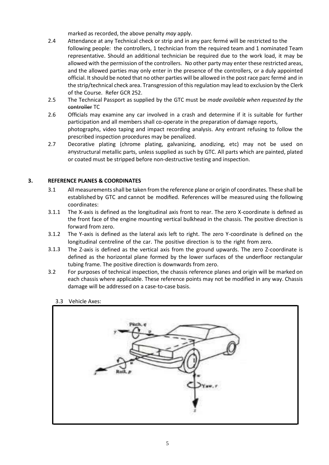marked as recorded, the above penalty *may* apply.

- 2.4 Attendance at any Technical check or strip and in any parc fermé will be restricted to the following people: the controllers, 1 technician from the required team and 1 nominated Team representative. Should an additional technician be required due to the work load, it may be allowed with the permission of the controllers. No other party may enter these restricted areas, and the allowed parties may only enter in the presence of the controllers, or a duly appointed official. It should be noted that no other parties will be allowed in the post race parc fermé and in the strip/technical check area. Transgression of this regulation may lead to exclusion by the Clerk of the Course. Refer GCR 252.
- 2.5 The Technical Passport as supplied by the GTC must be *made available when requested by the*  controller TC
- 2.6 Officials may examine any car involved in a crash and determine if it is suitable for further participation and all members shall co-operate in the preparation of damage reports, photographs, video taping and impact recording analysis. Any entrant refusing to follow the prescribed inspection procedures may be penalized.
- 2.7 Decorative plating (chrome plating, galvanizing, anodizing, etc) may not be used on anystructural metallic parts, unless supplied as such by GTC. All parts which are painted, plated or coated must be stripped before non-destructive testing and inspection.

#### <span id="page-4-0"></span>**3. REFERENCE PLANES & COORDINATES**

- 3.1 All measurementsshall be taken from the reference plane or origin of coordinates. These shall be established by GTC and cannot be modified. References will be measured using the following coordinates:
- 3.1.1 The X-axis is defined as the longitudinal axis front to rear. The zero X-coordinate is defined as the front face of the engine mounting vertical bulkhead in the chassis. The positive direction is forward from zero.
- 3.1.2 The Y-axis is defined as the lateral axis left to right. The zero Y-coordinate is defined on the longitudinal centreline of the car. The positive direction is to the right from zero.
- 3.1.3 The Z-axis is defined as the vertical axis from the ground upwards. The zero Z-coordinate is defined as the horizontal plane formed by the lower surfaces of the underfloor rectangular tubing frame. The positive direction is downwards from zero.
- 3.2 For purposes of technical inspection, the chassis reference planes and origin will be marked on each chassis where applicable. These reference points may not be modified in any way. Chassis damage will be addressed on a case-to-case basis.
	- 3.3 Vehicle Axes:

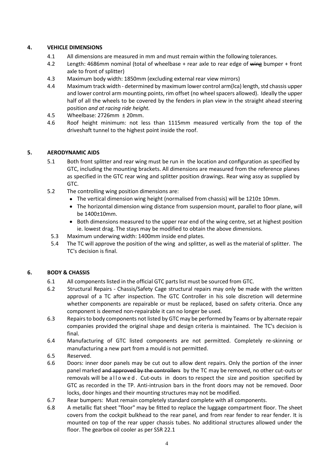#### <span id="page-5-0"></span>**4. VEHICLE DIMENSIONS**

- 4.1 All dimensions are measured in mm and must remain within the following tolerances.
- 4.2 Length: 4686mm nominal (total of wheelbase + rear axle to rear edge of wing bumper + front axle to front of splitter)
- 4.3 Maximum body width: 1850mm (excluding external rear view mirrors)
- 4.4 Maximum track width determined by maximum lower control arm(lca) length, std chassis upper and lower control arm mounting points, rim offset (no wheel spacers allowed). Ideally the upper half of all the wheels to be covered by the fenders in plan view in the straight ahead steering position *and at racing ride height.*
- 4.5 Wheelbase: 2726mm ± 20mm.
- 4.6 Roof height minimum: not less than 1115mm measured vertically from the top of the driveshaft tunnel to the highest point inside the roof.

#### <span id="page-5-1"></span>**5. AERODYNAMIC AIDS**

- 5.1 Both front splitter and rear wing must be run in the location and configuration as specified by GTC, including the mounting brackets. All dimensions are measured from the reference planes as specified in the GTC rear wing and splitter position drawings. Rear wing assy as supplied by GTC.
- 5.2 The controlling wing position dimensions are:
	- The vertical dimension wing height (normalised from chassis) will be 1210± 10mm.
	- The horizontal dimension wing distance from suspension mount, parallel to floor plane, will be 1400±10mm.
	- Both dimensions measured to the upper rear end of the wing centre, set at highest position ie. lowest drag. The stays may be modified to obtain the above dimensions.
	- 5.3 Maximum underwing width: 1400mm inside end plates.
	- 5.4 The TC will approve the position of the wing and splitter, as well as the material of splitter. The TC's decision is final.

#### <span id="page-5-2"></span>**6. BODY & CHASSIS**

- 6.1 All components listed in the official GTC parts list must be sourced from GTC.
- 6.2 Structural Repairs Chassis/Safety Cage structural repairs may only be made with the written approval of a TC after inspection. The GTC Controller in his sole discretion will determine whether components are repairable or must be replaced, based on safety criteria. Once any component is deemed non-repairable it can no longer be used.
- 6.3 Repairsto body components not listed by GTC may be performed by Teams or by alternate repair companies provided the original shape and design criteria is maintained. The TC's decision is final.
- 6.4 Manufacturing of GTC listed components are not permitted. Completely re-skinning or manufacturing a new part from a mould is not permitted.
- 6.5 Reserved.
- 6.6 Doors: inner door panels may be cut out to allow dent repairs. Only the portion of the inner panel marked and approved by the controllers by the TC may be removed, no other cut-outs or removals will be allowed. Cut-outs in doors to respect the size and position specified by GTC as recorded in the TP. Anti-intrusion bars in the front doors may not be removed. Door locks, door hinges and their mounting structures may not be modified.
- 6.7 Rear bumpers: Must remain completely standard complete with all components.
- 6.8 A metallic flat sheet "floor" may be fitted to replace the luggage compartment floor. The sheet covers from the cockpit bulkhead to the rear panel, and from rear fender to rear fender. It is mounted on top of the rear upper chassis tubes. No additional structures allowed under the floor. The gearbox oil cooler as per SSR 22.1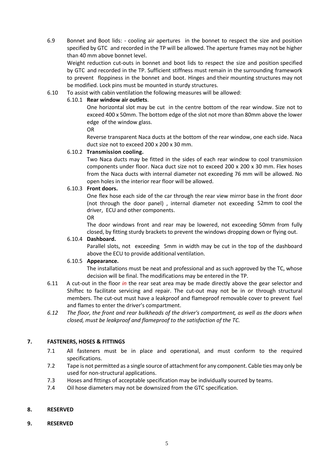6.9 Bonnet and Boot lids: - cooling air apertures in the bonnet to respect the size and position specified by GTC and recorded in the TP will be allowed. The aperture frames may not be higher than 40 mm above bonnet level.

Weight reduction cut-outs in bonnet and boot lids to respect the size and position specified by GTC and recorded in the TP. Sufficient stiffness must remain in the surrounding framework to prevent floppiness in the bonnet and boot. Hinges and their mounting structures may not be modified. Lock pins must be mounted in sturdy structures.

6.10 To assist with cabin ventilation the following measures will be allowed:

#### 6.10.1 **Rear window air outlets**.

One horizontal slot may be cut in the centre bottom of the rear window. Size not to exceed 400 x 50mm. The bottom edge of the slot not more than 80mm above the lower edge of the window glass.

OR

Reverse transparent Naca ducts at the bottom of the rear window, one each side. Naca duct size not to exceed 200 x 200 x 30 mm.

#### 6.10.2 **Transmission cooling.**

Two Naca ducts may be fitted in the sides of each rear window to cool transmission components under floor. Naca duct size not to exceed 200 x 200 x 30 mm. Flex hoses from the Naca ducts with internal diameter not exceeding 76 mm will be allowed. No open holes in the interior rear floor will be allowed.

#### 6.10.3 **Front doors.**

One flex hose each side of the car through the rear view mirror base in the front door (not through the door panel) , internal diameter not exceeding 52mm to cool the driver, ECU and other components.

OR

The door windows front and rear may be lowered, not exceeding 50mm from fully closed, by fitting sturdy brackets to prevent the windows dropping down or flying out.

#### 6.10.4 **Dashboard.**

Parallel slots, not exceeding 5mm in width may be cut in the top of the dashboard above the ECU to provide additional ventilation.

#### 6.10.5 **Appearance.**

The installations must be neat and professional and as such approved by the TC, whose decision will be final. The modifications may be entered in the TP.

- 6.11 A cut-out in the floor *in* the rear seat area may be made directly above the gear selector and Shiftec to facilitate servicing and repair. The cut-out may not be in or through structural members. The cut-out must have a leakproof and flameproof removable cover to prevent fuel and flames to enter the driver's compartment.
- *6.12 The floor, the front and rear bulkheads of the driver's compartment, as well as the doors when closed, must be leakproof and flameproof to the satisfaction of the TC.*

#### <span id="page-6-0"></span>**7. FASTENERS, HOSES & FITTINGS**

- 7.1 All fasteners must be in place and operational, and must conform to the required specifications.
- 7.2 Tape is not permitted as a single source of attachment for any component. Cable ties may only be used for non-structural applications.
- 7.3 Hoses and fittings of acceptable specification may be individually sourced by teams.
- 7.4 Oil hose diameters may not be downsized from the GTC specification.

#### <span id="page-6-1"></span>**8. RESERVED**

<span id="page-6-2"></span>**9. RESERVED**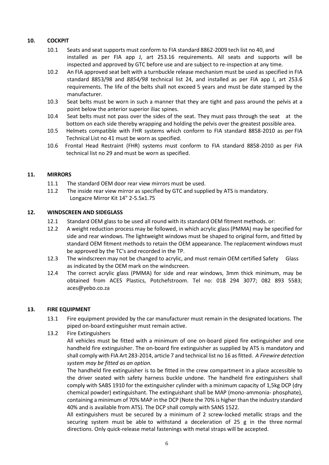#### <span id="page-7-0"></span>**10. COCKPIT**

- 10.1 Seats and seat supports must conform to FIA standard 8862-2009 tech list no 40, and installed as per FIA app J, art 253.16 requirements. All seats and supports will be inspected and approved by GTC before use and are subject to re-inspection at any time.
- 10.2 An FIA approved seat belt with a turnbuckle release mechanism must be used as specified in FIA standard 8853/98 and *8854/98* technical list 24, and installed as per FIA app J, art 253.6 requirements. The life of the belts shall not exceed 5 years and must be date stamped by the manufacturer.
- 10.3 Seat belts must be worn in such a manner that they are tight and pass around the pelvis at a point below the anterior superior iliac spines.
- 10.4 Seat belts must not pass over the sides of the seat. They must pass through the seat at the bottom on each side thereby wrapping and holding the pelvis over the greatest possible area.
- 10.5 Helmets compatible with FHR systems which conform to FIA standard 8858-2010 as per FIA Technical List no 41 must be worn as specified.
- 10.6 Frontal Head Restraint (FHR) systems must conform to FIA standard 8858-2010 as per FIA technical list no 29 and must be worn as specified.

#### <span id="page-7-1"></span>**11. MIRRORS**

- 11.1 The standard OEM door rear view mirrors must be used.
- 11.2 The inside rear view mirror as specified by GTC and supplied by ATS is mandatory. Longacre Mirror Kit 14" 2-5.5x1.75

#### <span id="page-7-2"></span>**12. WINDSCREEN AND SIDEGLASS**

- 12.1 Standard OEM glass to be used all round with its standard OEM fitment methods. or:
- 12.2 A weight reduction process may be followed, in which acrylic glass (PMMA) may be specified for side and rear windows. The lightweight windows must be shaped to original form, and fitted by standard OEM fitment methods to retain the OEM appearance. The replacement windows must be approved by the TC's and recorded in the TP.
- 12.3 The windscreen may not be changed to acrylic, and must remain OEM certified Safety Glass as indicated by the OEM mark on the windscreen.
- 12.4 The correct acrylic glass (PMMA) for side and rear windows, 3mm thick minimum, may be obtained from ACES Plastics, Potchefstroom. Tel no: 018 294 3077; 082 893 5583; [aces@yebo.co.za](mailto:aces@yebo.co.za)

#### <span id="page-7-3"></span>**13. FIRE EQUIPMENT**

- 13.1 Fire equipment provided by the car manufacturer must remain in the designated locations. The piped on-board extinguisher must remain active.
- 13.2 Fire Extinguishers

All vehicles must be fitted with a minimum of one on-board piped fire extinguisher and one handheld fire extinguisher. The on-board fire extinguisher as supplied by ATS is mandatory and shall comply with FIA Art 283-2014, article 7 and technical list no 16 as fitted. *A Firewire detection system may be fitted as an option.*

The handheld fire extinguisher is to be fitted in the crew compartment in a place accessible to the driver seated with safety harness buckle undone. The handheld fire extinguishers shall comply with SABS 1910 for the extinguisher cylinder with a minimum capacity of 1,5kg DCP (dry chemical powder) extinguishant. The extinguishant shall be MAP (mono-ammonia- phosphate), containing a minimum of 70% MAP in the DCP (Note the 70% is higher than the industry standard 40% and is available from ATS). The DCP shall comply with SANS 1522.

All extinguishers must be secured by a minimum of 2 screw-locked metallic straps and the securing system must be able to withstand a deceleration of 25 g in the three normal directions. Only quick-release metal fastenings with metal straps will be accepted.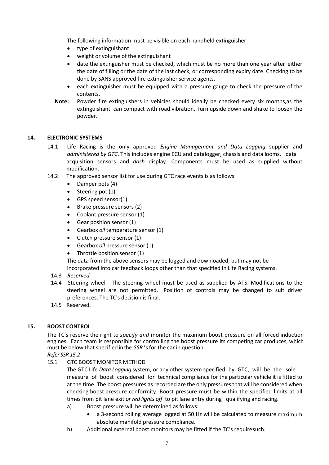The following information must be visible on each handheld extinguisher:

- type of extinguishant
- weight or volume of the extinguishant
- date the extinguisher must be checked, which must be no more than one year after either the date of filling or the date of the last check, or corresponding expiry date. Checking to be done by SANS approved fire extinguisher service agents.
- each extinguisher must be equipped with a pressure gauge to check the pressure of the contents.
- **Note:** Powder fire extinguishers in vehicles should ideally be checked every six months,as the extinguishant can compact with road vibration. Turn upside down and shake to loosen the powder.

#### <span id="page-8-0"></span>**14. ELECTRONIC SYSTEMS**

- 14.1 Life Racing is the only approved *Engine Management and Data Logging* supplier and *administered by GTC*. This includes engine ECU and datalogger, chassis and data looms, data acquisition sensors and *dash* display. Components must be used as supplied without modification.
- 14.2 The approved sensor list for use during GTC race events is as follows:
	- Damper pots (4)
	- Steering pot (1)
	- GPS speed sensor(1)
	- Brake pressure sensors (2)
	- Coolant pressure sensor (1)
	- Gear position sensor (1)
	- Gearbox *oil* temperature sensor (1)
	- Clutch pressure sensor (1)
	- Gearbox *oil* pressure sensor (1)
	- Throttle position sensor (1)

The data from the above sensors may be logged and downloaded, but may not be incorporated into car feedback loops other than that specified in Life Racing systems.

- 14.3 *Reserved.*
- 14.4 Steering wheel The steering wheel must be used as supplied by ATS. Modifications to the steering wheel are not permitted. Position of controls may be changed to suit driver preferences. The TC's decision is final.
- 14.5 Reserved.

#### <span id="page-8-1"></span>**15. BOOST CONTROL**

The TC's reserve the right to *specify and* monitor the maximum boost pressure on all forced induction engines. Each team is responsible for controlling the boost pressure its competing car produces, which must be below that specified in the *SSR* 'sfor the car in question.

*Refer SSR 15.2*

15.1 GTC BOOST MONITOR METHOD

The GTC Life *Data Logging* system, or any other system specified by GTC, will be the sole measure of boost considered for technical compliance for the particular vehicle it is fitted to at the time. The boost pressures as recorded are the only pressuresthat will be considered when checking boost pressure conformity. Boost pressure must be within the specified limits at all times from pit lane exit *or red lights off* to pit lane entry during qualifying and racing.

- a) Boost pressure will be determined as follows:
	- a 3-second rolling average logged at 50 Hz will be calculated to measure maximum absolute manifold pressure compliance.
- b) Additional external boost monitors may be fitted if the TC's requiresuch.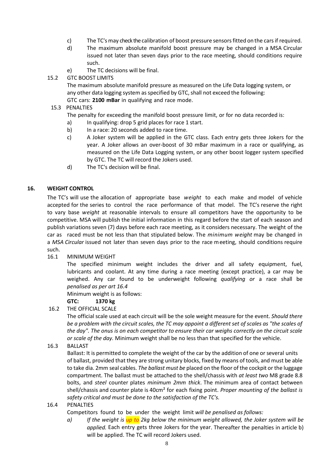- c) The TC'smay check the calibration of boost pressure sensorsfitted on the carsif required.
- d) The maximum absolute manifold boost pressure may be changed in a MSA Circular issued not later than seven days prior to the race meeting, should conditions require such.
- e) The TC decisions will be final.
- 15.2 GTC BOOST LIMITS

The maximum absolute manifold pressure as measured on the Life Data logging system, or any other data logging system as specified by GTC, shall not exceed the following: GTC cars: **2100 mBar** in qualifying and race mode.

#### 15.3 PENALTIES

The penalty for exceeding the manifold boost pressure limit, or for no data recorded is:

- a) In qualifying: drop 5 grid places for race 1 start.
- b) In a race: 20 seconds added to race time.
- c) A Joker system will be applied in the GTC class. Each entry gets three Jokers for the year. A Joker allows an over-boost of 30 mBar maximum in a race or qualifying, as measured on the Life Data Logging system, or any other boost logger system specified by GTC. The TC will record the Jokers used.
- d) The TC's decision will be final.

#### <span id="page-9-0"></span>**16. WEIGHT CONTROL**

The TC's will use the allocation of appropriate base *weight* to each make and model of vehicle accepted for the series to control the race performance of that model. The TC's reserve the right to vary base *weight* at reasonable intervals to ensure all competitors have the opportunity to be competitive. MSA will publish the initial information in this regard before the start of each season and publish variations seven (7) days before each race meeting, as it considers necessary. The weight of the car as raced must be not less than that stipulated below. The *minimum weight* may be changed in a *MSA Circular* issued not later than seven days prior to the race meeting, should conditions require such.

16.1 MINIMUM WEIGHT

The specified minimum weight includes the driver and all safety equipment, fuel, lubricants and coolant. At any time during a race meeting (except practice), a car may be weighed. Any car found to be underweight following *qualifying or* a race shall be *penalised as per art 16.4*

Minimum weight is as follows:

#### **GTC: 1370 kg**

#### 16.2 THE OFFICIAL SCALE

The official scale used at each circuit will be the sole weight measure for the event. *Should there be a problem with the circuit scales, the TC may appoint a different set of scales as "the scales of the day". The onus is on each competitor to ensure their car weighs correctly on the circuit scale or scale of the day.* Minimum weight shall be no less than that specified for the vehicle.

16.3 BALLAST

Ballast: It is permitted to complete the weight of the car by the addition of one or several units of ballast, provided that they are strong unitary blocks, fixed by means of tools, and must be able to take dia. 2mm seal cables. *The ballast must be* placed on the floor of the cockpit or the luggage compartment. The ballast must be attached to the shell/chassis with *at least two* M8 grade 8.8 bolts, and *steel* counter plates *minimum 2mm thick*. The minimum area of contact between shell/chassis and counter plate is 40cm² for each fixing point. *Proper mounting of the ballast is safety critical and must be done to the satisfaction of the TC's.*

16.4 PENALTIES

Competitors found to be under the weight limit *will be penalised as follows:*

*a) If the weight is up to 2kg below the minimum weight allowed, the Joker system will be applied.* Each entry gets three Jokers for the year. Thereafter the penalties in article b) will be applied. The TC will record Jokers used.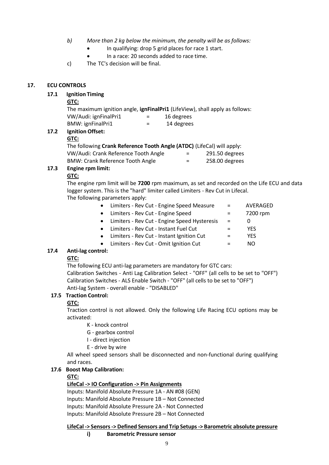- *b) More than 2 kg below the minimum, the penalty will be as follows:*
	- In qualifying: drop 5 grid places for race 1 start.
	- In a race: 20 seconds added to race time.

c) The TC's decision will be final.

#### <span id="page-10-0"></span>**17. ECU CONTROLS**

#### **17.1 Ignition Timing**

#### **GTC:**

The maximum ignition angle, **ignFinalPri1** (LifeView), shall apply as follows: VW/Audi: ignFinalPri1 = 16 degrees

BMW: ignFinalPri1 = 14 degrees

#### **17.2 Ignition Offset:**

#### **GTC:**

| The following Crank Reference Tooth Angle (ATDC) (LifeCal) will apply: |     |                |
|------------------------------------------------------------------------|-----|----------------|
| VW/Audi: Crank Reference Tooth Angle                                   | $=$ | 291.50 degrees |
| <b>BMW: Crank Reference Tooth Angle</b>                                | $=$ | 258.00 degrees |
|                                                                        |     |                |

#### **17.3 Engine rpm limit:**

#### **GTC:**

The engine rpm limit will be **7200** rpm maximum, as set and recorded on the Life ECU and data logger system. This is the "hard" limiter called Limiters - Rev Cut in Lifecal.

The following parameters apply:

|           | Limiters - Rev Cut - Engine Speed Measure    | $=$ | AVERAGED |
|-----------|----------------------------------------------|-----|----------|
| $\bullet$ | Limiters - Rev Cut - Engine Speed            |     | 7200 rpm |
| $\bullet$ | Limiters - Rev Cut - Engine Speed Hysteresis | $=$ | O        |
|           | Limiters - Rev Cut - Instant Fuel Cut        |     | YFS      |
|           | Limiters - Rev Cut - Instant Ignition Cut    |     | YFS      |
|           | Limiters - Rev Cut - Omit Ignition Cut       |     | NΩ       |
|           |                                              |     |          |

#### **17.4 Anti-lag control:**

#### **GTC:**

The following ECU anti-lag parameters are mandatory for GTC cars:

Calibration Switches - Anti Lag Calibration Select - "OFF" (all cells to be set to "OFF") Calibration Switches - ALS Enable Switch - "OFF" (all cells to be set to "OFF") Anti-lag System - overall enable - "DISABLED"

#### **17.5 Traction Control:**

#### **GTC:**

Traction control is not allowed. Only the following Life Racing ECU options may be activated:

- K knock control
- G gearbox control
- I direct injection
- E drive by wire

All wheel speed sensors shall be disconnected and non-functional during qualifying and races.

#### **17.6 Boost Map Calibration:**

#### **GTC:**

#### **LifeCal -> IO Configuration -> Pin Assignments**

Inputs: Manifold Absolute Pressure 1A - AN #08 (GEN) Inputs: Manifold Absolute Pressure 1B – Not Connected Inputs: Manifold Absolute Pressure 2A - Not Connected Inputs: Manifold Absolute Pressure 2B – Not Connected

**LifeCal -> Sensors-> Defined Sensors and Trip Setups-> Barometric absolute pressure**

**i) Barometric Pressure sensor**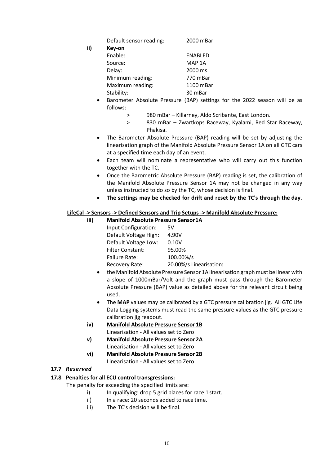Default sensor reading: 2000 mBar

**ii) Key-on**

| Key-on           |                |
|------------------|----------------|
| Enable:          | <b>ENABLED</b> |
| Source:          | MAP 1A         |
| Delay:           | 2000 ms        |
| Minimum reading: | 770 mBar       |
| Maximum reading: | 1100 mBar      |
| Stability:       | 30 mBar        |
|                  |                |

- Barometer Absolute Pressure (BAP) settings for the 2022 season will be as follows:
	- > 980 mBar Killarney, Aldo Scribante, East London.
	- > 830 mBar Zwartkops Raceway, Kyalami, Red Star Raceway, Phakisa.
- The Barometer Absolute Pressure (BAP) reading will be set by adjusting the linearisation graph of the Manifold Absolute Pressure Sensor 1A on all GTC cars at a specified time each day of an event.
- Each team will nominate a representative who will carry out this function together with the TC.
- Once the Barometric Absolute Pressure (BAP) reading is set, the calibration of the Manifold Absolute Pressure Sensor 1A may not be changed in any way unless instructed to do so by the TC, whose decision is final.
- **The settings may be checked for drift and reset by the TC's through the day.**

#### **LifeCal -> Sensors -> Defined Sensors and Trip Setups -> Manifold Absolute Pressure:**

| iii) | <b>Manifold Absolute Pressure Sensor 1A</b> |                         |  |  |
|------|---------------------------------------------|-------------------------|--|--|
|      | Input Configuration:                        | 5V                      |  |  |
|      | Default Voltage High:                       | 4.90V                   |  |  |
|      | Default Voltage Low:                        | 0.10V                   |  |  |
|      | <b>Filter Constant:</b>                     | 95.00%                  |  |  |
|      | <b>Failure Rate:</b>                        | 100.00%/s               |  |  |
|      | Recovery Rate:                              | 20.00%/s Linearisation: |  |  |
|      |                                             |                         |  |  |

- the Manifold Absolute Pressure Sensor 1A linearisation graph must be linear with a slope of 1000mBar/Volt and the graph must pass through the Barometer Absolute Pressure (BAP) value as detailed above for the relevant circuit being used.
- The **MAP** values may be calibrated by a GTC pressure calibration jig. All GTC Life Data Logging systems must read the same pressure values as the GTC pressure calibration jig readout.
- **iv) Manifold Absolute Pressure Sensor 1B** Linearisation - All values set to Zero
- **v) Manifold Absolute Pressure Sensor 2A** Linearisation - All values set to Zero
- **vi) Manifold Absolute Pressure Sensor 2B** Linearisation - All values set to Zero

#### **17.7** *Reserved*

#### **17.8 Penalties for all ECU control transgressions:**

The penalty for exceeding the specified limits are:

- i) In qualifying: drop 5 grid places for race 1 start.
- ii) In a race: 20 seconds added to race time.
- iii) The TC's decision will be final.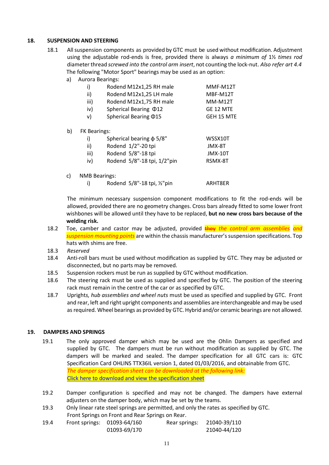#### <span id="page-12-0"></span>**18. SUSPENSION AND STEERING**

- 18.1 All suspension components as provided by GTC must be used without modification. Adjustment using the adjustable rod-ends is free, provided there is always *a minimum of* 1½ *times rod* diameterthread *screwed into the control arm insert*, not counting the lock-nut. *Also refer art 4.4* The following "Motor Sport" bearings may be used as an option:
	- a) Aurora Bearings:

| i)   | Rodend M12x1,25 RH male     | MMF-M12T       |
|------|-----------------------------|----------------|
| ii)  | Rodend M12x1,25 LH male     | MBF-M12T       |
| iii) | Rodend M12x1,75 RH male     | <b>MM-M12T</b> |
| iv)  | Spherical Bearing 012       | GE 12 MTE      |
| v)   | Spherical Bearing $\Phi$ 15 | GEH 15 MTE     |

b) FK Bearings:

|      | Spherical bearing $\phi$ 5/8" | WSSX10T |
|------|-------------------------------|---------|
| ii)  | Rodend 1/2"-20 tpi            | JMX-8T  |
| iii) | Rodend 5/8"-18 tpi            | JMX-10T |
| iv)  | Rodend 5/8"-18 tpi, 1/2"pin   | RSMX-8T |
|      |                               |         |

- c) NMB Bearings:
	- i) Rodend  $5/8"$ -18 tpi,  $\frac{1}{2}$ "pin ARHT8ER

The minimum necessary suspension component modifications to fit the rod-ends will be allowed, provided there are no geometry changes. Cross bars already fitted to some lower front wishbones will be allowed until they have to be replaced, **but no new cross bars because of the welding risk.**

- 18.2 Toe, camber and castor may be adjusted, provided they *the control arm assemblies and suspension mounting points* are within the chassis manufacturer's suspension specifications. Top hats with shims are free.
- 18.3 *Reserved*
- 18.4 Anti-roll bars must be used without modification as supplied by GTC. They may be adjusted or disconnected, but no parts may be removed.
- 18.5 Suspension rockers must be run as supplied by GTC without modification.
- 18.6 The steering rack must be used as supplied and specified by GTC. The position of the steering rack must remain in the centre of the car or as specified by GTC.
- 18.7 Upright*s, hub assemblies and wheel nuts* must be used as specified and supplied by GTC. Front and rear, left and right upright components and assemblies are interchangeable and may be used asrequired. Wheel bearings as provided by GTC. Hybrid and/or ceramic bearings are not allowed.

#### <span id="page-12-1"></span>**19. DAMPERS AND SPRINGS**

- 19.1 The only approved damper which may be used are the Ohlin Dampers as specified and supplied by GTC. The dampers must be run without modification as supplied by GTC. The dampers will be marked and sealed. The damper specification for all GTC cars is: GTC Specification Card OHLINS TTX36IL version 1, dated 01/03/2016, and obtainable from GTC. *The damper specification sheet can be downloaded at the following link:*  [Click here to download and view the specification sheet](https://eolstoragewe.blob.core.windows.net/wm-553616-cmsimages/GTCDamperSPLandSpecificationV1.pdf)
- 19.2 Damper configuration is specified and may not be changed. The dampers have external adjusters on the damper body, which may be set by the teams.
- 19.3 Only linear rate steel springs are permitted, and only the rates as specified by GTC. Front Springs on Front and Rear Springs on Rear.

| 19.4 | Front springs: 01093-64/160 | Rear springs: | 21040-39/110 |
|------|-----------------------------|---------------|--------------|
|      | 01093-69/170                |               | 21040-44/120 |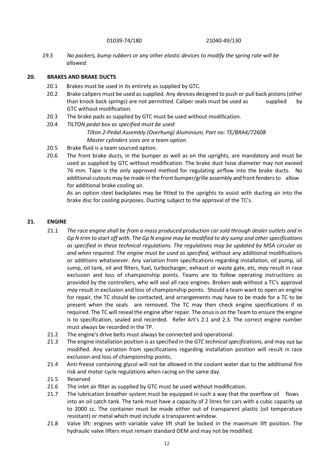01039-74/180 21040-49/130

 *19.5 No packers, bump rubbers or any other elastic devices to modify the spring rate will be allowed.*

#### <span id="page-13-0"></span>**20. BRAKES AND BRAKE DUCTS**

- 20.1 Brakes must be used in its entirety as supplied by GTC.
- 20.2 Brake calipers must be used as supplied. Any devices designed to push or pull back pistons (other than knock back springs) are not permitted. Caliper seals must be used as supplied by GTC without modification.
- 20.3 The brake pads as supplied by GTC must be used without modification.
- 20.4 *TILTON pedal box as specified must be used: Tilton 2-Pedal Assembly (Overhung) Aluminium, Part no: TE/BRAK/72608 Master cylinders sizes are a team option.*
- 20.5 Brake fluid is a team sourced option.
- 20.6 The front brake ducts, in the bumper as well as on the uprights, are mandatory and must be used as supplied by GTC without modification. The brake duct hose diameter may not exceed 76 mm. Tape is the only approved method for regulating airflow into the brake ducts. No additional cutouts may be made in the front bumper/grille assembly and front fenders to allow for additional brake cooling air.

As an option steel backplates may be fitted to the uprights to assist with ducting air into the brake disc for cooling purposes. Ducting subject to the approval of the TC's.

#### <span id="page-13-1"></span>**21. ENGINE**

- 21.1 *The race engine shall be from a mass produced production car sold through dealer outlets and in Gp N trim to start off with. The Gp N engine may be modified to dry sump and other specifications as specified in these technical regulations. The regulations may be updated by MSA circular as and when required. The engine must be used as specified,* without any additional modifications or additions whatsoever. Any variation from specifications regarding installation, oil pump, oil sump, oil tank, oil and filters, fuel, turbocharger, exhaust or waste gate, etc, *may* result in race exclusion and loss of championship points. Teams are to follow operating instructions as provided by the controllers, who will seal all race engines. Broken seals without a TC's approval *may* result in exclusion and loss of championship points. Should a team want to open an engine for repair, the TC should be contacted, and arrangements may have to be made for a TC to be present when the seals are removed. The TC may then check engine specifications if so required. The TC will reseal the engine after repair. The onus is on the Team to ensure the engine is to specification, sealed and recorded. Refer Art's 2.1 and 2.3. The correct engine number must always be recorded in the TP.
- 21.2 The engine's drive belts must always be connected and operational.
- 21.3 The engine installation position is asspecified in the *GTC technicalspecifications,* and may not be modified. Any variation from specifications regarding installation position will result in race exclusion and loss of championship points.
- 21.4 Anti-freeze containing glycol will not be allowed in the coolant water due to the additional fire risk and motor cycle regulations when racing on the same day.
- 21.5 Reserved
- 21.6 The inlet air filter as supplied by GTC must be used without modification.
- 21.7 The lubrication breather system must be equipped in such a way that the overflow oil flows into an oil catch tank. The tank must have a capacity of 2 litres for cars with a cubic capacity up to 2000 cc. The container must be made either out of transparent plastic (oil temperature resistant) or metal which must include a transparent window.
- 21.8 Valve lift: engines with variable valve lift shall be locked in the maximum lift position. The hydraulic valve lifters must remain standard OEM and may not be modified.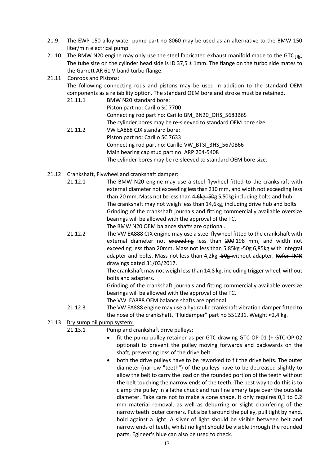- 21.9 The EWP 150 alloy water pump part no 8060 may be used as an alternative to the BMW 150 liter/min electrical pump.
- 21.10 The BMW N20 engine may only use the steel fabricated exhaust manifold made to the GTC jig. The tube size on the cylinder head side is ID 37,5  $\pm$  1mm. The flange on the turbo side mates to the Garrett AR 61 V-band turbo flange.

#### 21.11 Conrods and Pistons:

The following connecting rods and pistons may be used in addition to the standard OEM components as a reliability option. The standard OEM bore and stroke must be retained.

- 21.11.1 BMW N20 standard bore: Piston part no: Carillo SC 7700 Connecting rod part no: Carillo BM\_BN20\_OHS\_5683B6S The cylinder bores may be re-sleeved to standard OEM bore size. 21.11.2 VW EA888 CJX standard bore: Piston part no: Carillo SC 7633 Connecting rod part no: Carillo VW\_BTSI\_3HS\_5670B66 Main bearing cap stud part no: ARP 204-5408 The cylinder bores may be re-sleeved to standard OEM bore size.
- 21.12 Crankshaft, Flywheel and crankshaft damper:
	- 21.12.1 The BMW N20 engine may use a steel flywheel fitted to the crankshaft with external diameter not exceeding less than 210 mm, and width not exceeding less than 20 mm. Mass not be less than 4, 6kg - 50g 5, 50kg including bolts and hub. The crankshaft may not weigh less than 14,6kg, including drive hub and bolts. Grinding of the crankshaft journals and fitting commercially available oversize bearings will be allowed with the approval of the TC. The BMW N20 OEM balance shafts are optional.
	- 21.12.2 The VW EA888 CJX engine may use a steel flywheel fitted to the crankshaft with external diameter not exceeding less than 200 198 mm, and width not exceeding less than 20mm. Mass not less than 5,85kg-50g 6,85kg with integral adapter and bolts. Mass not less than 4,2kg -50g-without adapter. Refer TMR drawings dated 31/03/2017.

The crankshaft may not weigh less than 14,8 kg, including trigger wheel, without bolts and adapters.

Grinding of the crankshaft journals and fitting commercially available oversize bearings will be allowed with the approval of the TC.

The VW EA888 OEM balance shafts are optional.

- 21.12.3 The VW EA888 engine may use a hydraulic crankshaft vibration damper fitted to the nose of the crankshaft. "Fluidamper" part no 551231. Weight ≈2,4 kg.
- 21.13 Dry sump oil pump system:

```
21.13.1 Pump and crankshaft drive pulleys:
```
- fit the pump pulley retainer as per GTC drawing GTC-OP-01 (+ GTC-OP-02 optional) to prevent the pulley moving forwards and backwards on the shaft, preventing loss of the drive belt.
- both the drive pulleys have to be reworked to fit the drive belts. The outer diameter (narrow "teeth") of the pulleys have to be decreased slightly to allow the belt to carry the load on the rounded portion of the teeth without the belt touching the narrow ends of the teeth. The best way to do this is to clamp the pulley in a lathe chuck and run fine emery tape over the outside diameter. Take care not to make a cone shape. It only requires 0,1 to 0,2 mm material removal, as well as deburring or slight chamfering of the narrow teeth outer corners. Put a belt around the pulley, pull tight by hand, hold against a light. A sliver of light should be visible between belt and narrow ends of teeth, whilst no light should be visible through the rounded parts. Egineer's blue can also be used to check.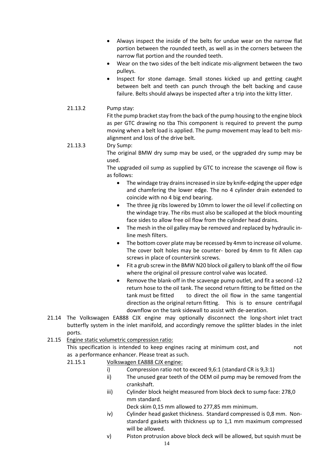- Always inspect the inside of the belts for undue wear on the narrow flat portion between the rounded teeth, as well as in the corners between the narrow flat portion and the rounded teeth.
- Wear on the two sides of the belt indicate mis-alignment between the two pulleys.
- Inspect for stone damage. Small stones kicked up and getting caught between belt and teeth can punch through the belt backing and cause failure. Belts should always be inspected after a trip into the kitty litter.

#### 21.13.2 Pump stay:

Fit the pump bracket stay from the back of the pump housing to the engine block as per GTC drawing no tba This component is required to prevent the pump moving when a belt load is applied. The pump movement may lead to belt misalignment and loss of the drive belt.

### 21.13.3 Dry Sump:

The original BMW dry sump may be used, or the upgraded dry sump may be used.

The upgraded oil sump as supplied by GTC to increase the scavenge oil flow is as follows:

- The windage tray drains increased in size by knife-edging the upper edge and chamfering the lower edge. The no 4 cylinder drain extended to coincide with no 4 big end bearing.
- The three jig ribs lowered by 10mm to lower the oil level if collecting on the windage tray. The ribs must also be scalloped at the block mounting face sides to allow free oil flow from the cylinder head drains.
- The mesh in the oil galley may be removed and replaced by hydraulic inline mesh filters.
- The bottom cover plate may be recessed by 4mm to increase oil volume. The cover bolt holes may be counter- bored by 4mm to fit Allen cap screws in place of countersink screws.
- Fit a grub screw in the BMW N20 block oil gallery to blank off the oil flow where the original oil pressure control valve was located.
- Remove the blank-off in the scavenge pump outlet, and fit a second -12 return hose to the oil tank. The second return fitting to be fitted on the tank must be fitted to direct the oil flow in the same tangential direction as the original return fitting. This is to ensure centrifugal downflow on the tank sidewall to assist with de-aeration.
- 21.14 The Volkswagen EA888 CJX engine may optionally disconnect the long-short inlet tract butterfly system in the inlet manifold, and accordingly remove the splitter blades in the inlet ports.
- 21.15 Engine static volumetric compression ratio:

This specification is intended to keep engines racing at minimum cost, and not as a performance enhancer. Please treat as such.

- 21.15.1 Volkswagen EA888 CJX engine:
	- i) Compression ratio not to exceed 9,6:1 (standard CR is 9,3:1)
	- ii) The unused gear teeth of the OEM oil pump may be removed from the crankshaft.
	- iii) Cylinder block height measured from block deck to sump face: 278,0 mm standard.

Deck skim 0,15 mm allowed to 277,85 mm minimum.

- iv) Cylinder head gasket thickness. Standard compressed is 0,8 mm. Nonstandard gaskets with thickness up to 1,1 mm maximum compressed will be allowed.
- v) Piston protrusion above block deck will be allowed, but squish must be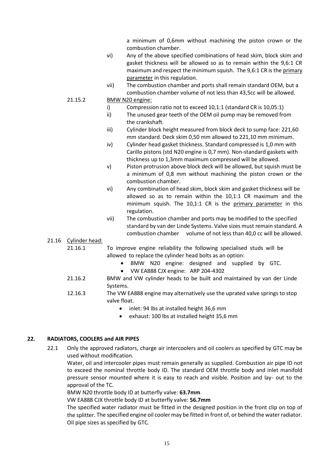a minimum of 0,6mm without machining the piston crown or the combustion chamber.

- vi) Any of the above specified combinations of head skim, block skim and gasket thickness will be allowed so as to remain within the 9,6:1 CR maximum and respect the minimum squish. The 9,6:1 CR is the primary parameter in this regulation.
- vii) The combustion chamber and ports shall remain standard OEM, but a combustion chamber volume of not less than 43,5cc will be allowed.

#### 21.15.2 BMW N20 engine:

- i) Compression ratio not to exceed 10,1:1 (standard CR is 10,05:1)
- ii) The unused gear teeth of the OEM oil pump may be removed from the crankshaft.
- iii) Cylinder block height measured from block deck to sump face: 221,60 mm standard. Deck skim 0,50 mm allowed to 221,10 mm minimum.
- iv) Cylinder head gasket thickness. Standard compressed is 1,0 mm with Carillo pistons (std N20 engine is 0,7 mm). Non-standard gaskets with thickness up to 1,3mm maximum compressed will be allowed.
- v) Piston protrusion above block deck will be allowed, but squish must be a minimum of 0,8 mm without machining the piston crown or the combustion chamber.
- vi) Any combination of head skim, block skim and gasket thickness will be allowed so as to remain within the 10,1:1 CR maximum and the minimum squish. The 10,1:1 CR is the primary parameter in this regulation.
- vii) The combustion chamber and ports may be modified to the specified standard by van der Linde Systems. Valve sizes must remain standard. A combustion chamber volume of not less than 40,0 cc will be allowed.

#### 21.16 Cylinder head:

- 21.16.1 To improve engine reliability the following specialised studs will be allowed to replace the cylinder head bolts as an option:
	- BMW N20 engine: designed and supplied by GTC.
	- VW EA888 CJX engine: ARP 204-4302
- 21.16.2 BMW and VW cylinder heads to be built and maintained by van der Linde Systems.
- 12.16.3 The VW EA888 engine may alternatively use the uprated valve springs to stop valve float.
	- inlet: 94 lbs at installed height 36,6 mm
	- exhaust: 100 lbs at installed height 35,6 mm

#### <span id="page-16-0"></span>**22. RADIATORS, COOLERS and AIR PIPES**

22.1 Only the approved radiators, charge air intercoolers and oil coolers as specified by GTC may be used without modification.

Water, oil and intercooler pipes must remain generally as supplied. Combustion air pipe ID not to exceed the nominal throttle body ID. The standard OEM throttle body and inlet manifold pressure sensor mounted where it is easy to reach and visible. Position and lay- out to the approval of the TC.

BMW N20 throttle body ID at butterfly valve: **63.7mm**

VW EA888 CJX throttle body ID at butterfly valve: **56.7mm**

The specified water radiator must be fitted in the designed position in the front clip on top of the splitter. The specified engine oil cooler may be fitted in front of, or behind the water radiator. Oil pipe sizes as specified by GTC.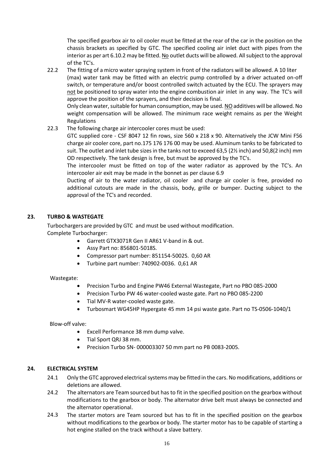The specified gearbox air to oil cooler must be fitted at the rear of the car in the position on the chassis brackets as specified by GTC. The specified cooling air inlet duct with pipes from the interior as per art 6.10.2 may be fitted. No outlet ducts will be allowed. All subject to the approval of the TC's.

22.2 The fitting of a micro water spraying system in front of the radiators will be allowed. A 10 liter (max) water tank may be fitted with an electric pump controlled by a driver actuated on-off switch, or temperature and/or boost controlled switch actuated by the ECU. The sprayers may not be positioned to spray water into the engine combustion air inlet in any way. The TC's will approve the position of the sprayers, and their decision is final.

Only clean water, suitable for human consumption, may be used. NO additives will be allowed. No weight compensation will be allowed. The minimum race weight remains as per the Weight Regulations

22.3 The following charge air intercooler cores must be used:

GTC supplied core - CSF 8047 12 fin rows, size 560 x 218 x 90. Alternatively the JCW Mini F56 charge air cooler core, part no.175 176 176 00 may be used. Aluminum tanks to be fabricated to suit. The outlet and inlet tube sizes in the tanks not to exceed 63,5 (2 $\frac{1}{2}$  inch) and 50,8(2 inch) mm OD respectively. The tank design is free, but must be approved by the TC's.

The intercooler must be fitted on top of the water radiator as approved by the TC's. An intercooler air exit may be made in the bonnet as per clause 6.9

Ducting of air to the water radiator, oil cooler and charge air cooler is free, provided no additional cutouts are made in the chassis, body, grille or bumper. Ducting subject to the approval of the TC's and recorded.

#### <span id="page-17-0"></span>**23. TURBO & WASTEGATE**

Turbochargers are provided by GTC and must be used without modification. Complete Turbocharger:

- Garrett GTX3071R Gen II AR61 V-band in & out.
- Assy Part no: 856801-5018S.
- Compressor part number: 851154-5002S. 0,60 AR
- Turbine part number: 740902-0036. 0,61 AR

#### Wastegate:

- Precision Turbo and Engine PW46 External Wastegate, Part no PBO 085-2000
- Precision Turbo PW 46 water-cooled waste gate. Part no PBO 085-2200
- Tial MV-R water-cooled waste gate.
- Turbosmart WG45HP Hypergate 45 mm 14 psi waste gate. Part no TS-0506-1040/1

Blow-off valve:

- Excell Performance 38 mm dump valve.
- Tial Sport QRJ 38 mm.
- Precision Turbo SN- 000003307 50 mm part no PB 0083-2005*.*

#### <span id="page-17-1"></span>**24. ELECTRICAL SYSTEM**

- 24.1 Only the GTC approved electrical systems may be fitted in the cars. No modifications, additions or deletions are allowed.
- 24.2 The alternators are Team sourced but has to fit in the specified position on the gearbox without modifications to the gearbox or body. The alternator drive belt must always be connected and the alternator operational.
- 24.3 The starter motors are Team sourced but has to fit in the specified position on the gearbox without modifications to the gearbox or body. The starter motor has to be capable of starting a hot engine stalled on the track without a slave battery.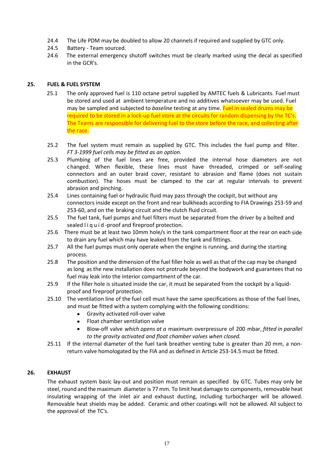- 24.4 The Life PDM may be doubled to allow 20 channels if required and supplied by GTC only.
- 24.5 Battery Team sourced.
- 24.6 The external emergency shutoff switches must be clearly marked using the decal as specified in the GCR's.

#### <span id="page-18-0"></span>**25. FUEL & FUEL SYSTEM**

- 25.1 The only approved fuel is 110 octane petrol supplied by AMTEC fuels & Lubricants. Fuel must be stored and used at ambient temperature and no additives whatsoever may be used. Fuel may be sampled and subjected to *baseline* testing at any time. Fuel in sealed drums may be required to be stored in a lock-up fuel store at the circuits for random dispensing by the TC's. The Teams are responsible for delivering fuel to the store before the race, and collecting after the race.
- 25.2 The fuel system must remain as supplied by GTC. This includes the fuel pump and filter. *FT 3-1999 fuel cells may be fitted as an option.*
- 25.3 Plumbing of the fuel lines are free, provided the internal hose diameters are not changed. When flexible, these lines must have threaded, crimped or self-sealing connectors and an outer braid cover, resistant to abrasion and flame (does not sustain combustion). The hoses must be clamped to the car at regular intervals to prevent abrasion and pinching.
- 25.4 Lines containing fuel or hydraulic fluid may pass through the cockpit, but without any connectors inside except on the front and rear bulkheads according to FIA Drawings 253-59 and 253-60, and on the braking circuit and the clutch fluid circuit.
- 25.5 The fuel tank, fuel pumps and fuel filters must be separated from the driver by a bolted and sealed liquid-proof and fireproof protection.
- 25.6 There must be at least two 10mm hole/s in the tank compartment floor at the rear on each side to drain any fuel which may have leaked from the tank and fittings.
- 25.7 All the fuel pumps must only operate when the engine is running, and during the starting process.
- 25.8 The position and the dimension of the fuel filler hole as well as that of the cap may be changed as long as the new installation does not protrude beyond the bodywork and guarantees that no fuel may leak into the interior compartment of the car.
- 25.9 If the filler hole is situated inside the car, it must be separated from the cockpit by a liquidproof and fireproof protection.
- 25.10 The ventilation line of the fuel cell must have the same specifications as those of the fuel lines, and must be fitted with a system complying with the following conditions:
	- Gravity activated roll-over valve
	- Float chamber ventilation valve
	- Blow-off valve *which opens at a* maximum overpressure of 200 mbar, *fitted in parallel to the gravity activated and float chamber valves when closed.*
- 25.11 If the internal diameter of the fuel tank breather venting tube is greater than 20 mm, a nonreturn valve homologated by the FIA and as defined in Article 253-14.5 must be fitted.

#### <span id="page-18-1"></span>**26. EXHAUST**

The exhaust system basic lay-out and position must remain as specified by GTC. Tubes may only be steel, round and the maximum diameter is 77 mm. To limit heat damage to components, removable heat insulating wrapping of the inlet air and exhaust ducting, including turbocharger will be allowed. Removable heat shields may be added. Ceramic and other coatings will not be allowed. All subject to the approval of the TC's.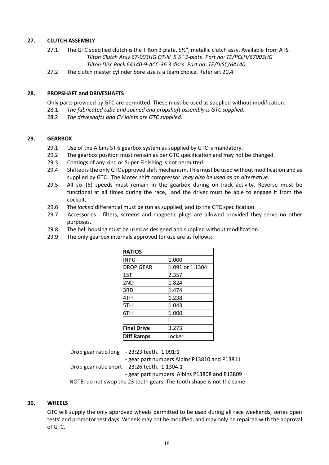#### <span id="page-19-0"></span>**27. CLUTCH ASSEMBLY**

- 27.1 The GTC specified clutch is the Tilton 3 plate, 5½", metallic clutch assy. Available from ATS. *Tilton Clutch Assy 67-003HG OT-lll 5.5" 3-plate. Part no: TE/PCLH/67003HG Tilton Disc Pack 64140-9-ACC-36 3 discs. Part no: TE/DISC/64140*
- 27.2 The clutch master cylinder bore size is a team choice. Refer art 20.4

#### <span id="page-19-1"></span>**28. PROPSHAFT and DRIVESHAFTS**

Only parts provided by GTC are permitted. These must be used as supplied without modification.

- 28.1 *The fabricated tube and splined end propshaft assembly is GTC supplied.*
- 28.2 *The driveshafts and CV joints are GTC supplied.*

#### <span id="page-19-2"></span>**29. GEARBOX**

- 29.1 Use of the Albins ST 6 gearbox system as supplied by GTC is mandatory.
- 29.2 The gearbox position must remain as per GTC specification and may not be changed.
- 29.3 Coatings of any kind or Super Finishing is not permitted.
- 29.4 Shiftec is the only GTC approved shift mechanism. This must be used without modification and as supplied by GTC. The Motec shift compressor *may also be used as an alternative.*
- 29.5 All six (6) speeds must remain in the gearbox during on-track activity. Reverse must be functional at all times during the race, and the driver must be able to engage it from the cockpit.
- 29.6 The *locked* differential must be run as supplied, and to the GTC specification.
- 29.7 Accessories filters, screens and magnetic plugs are allowed provided they serve no other purposes.
- 29.8 The bell housing must be used as designed and supplied without modification.
- 29.9 The only gearbox internals approved for use are as follows:

| <b>RATIOS</b>      |                 |
|--------------------|-----------------|
| <b>INPUT</b>       | 1.000           |
| <b>DROP GEAR</b>   | 1.091 or 1.1304 |
| 1ST                | 2.357           |
| 2ND                | 1.824           |
| 3RD                | 1.474           |
| 4TH                | 1.238           |
| 5TH                | 1.043           |
| 6TH                | 1.000           |
|                    |                 |
| <b>Final Drive</b> | 3.273           |
| <b>Diff Ramps</b>  | llocker         |

Drop gear ratio long - 23:23 teeth. 1.091:1 - gear part numbers Albins P13810 and P13811 Drop gear ratio short - 23:26 teeth. 1.1304:1 - gear part numbers Albins P13808 and P13809 NOTE: do not swop the 23 teeth gears. The tooth shape is not the same.

#### <span id="page-19-3"></span>**30. WHEELS**

GTC will supply the only approved wheels permitted to be used during all race weekends, series open tests' and promotor test days. Wheels may not be modified, and may only be repaired with the approval of GTC.